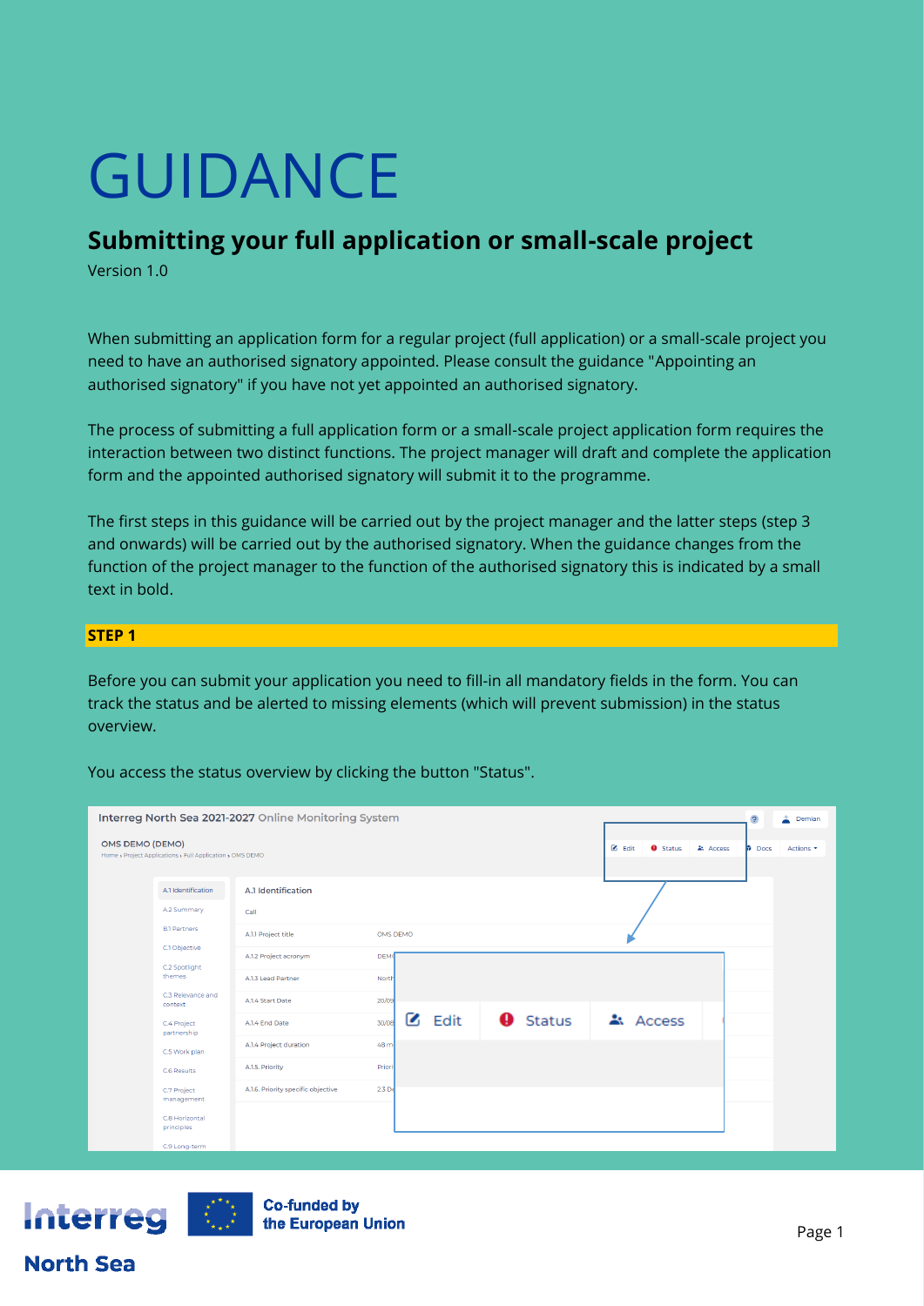# GUIDANCE

## **Submitting your full application or small-scale project**

Version 1.0

When submitting an application form for a regular project (full application) or a small-scale project you need to have an authorised signatory appointed. Please consult the guidance "Appointing an authorised signatory" if you have not yet appointed an authorised signatory.

The process of submitting a full application form or a small-scale project application form requires the interaction between two distinct functions. The project manager will draft and complete the application form and the appointed authorised signatory will submit it to the programme.

The first steps in this guidance will be carried out by the project manager and the latter steps (step 3 and onwards) will be carried out by the authorised signatory. When the guidance changes from the function of the project manager to the function of the authorised signatory this is indicated by a small text in bold.

## **STEP 1**

Before you can submit your application you need to fill-in all mandatory fields in the form. You can track the status and be alerted to missing elements (which will prevent submission) in the status overview.

You access the status overview by clicking the button "Status".

| Interreg North Sea 2021-2027 Online Monitoring System<br>$\mathcal{S}$ |                                                           |                                    |                            |                 |                                                                |                          |  |  |
|------------------------------------------------------------------------|-----------------------------------------------------------|------------------------------------|----------------------------|-----------------|----------------------------------------------------------------|--------------------------|--|--|
| OMS DEMO (DEMO)                                                        | Home , Project Applications , Full Application , OMS DEMO |                                    |                            |                 | $\blacksquare$ Edit<br><b>O</b> Status<br>$\triangle$ : Access | <b>Docs</b><br>Actions - |  |  |
|                                                                        | A.1 Identification                                        | A.1 Identification                 |                            |                 |                                                                |                          |  |  |
|                                                                        | A.2 Summary                                               | Call                               |                            |                 |                                                                |                          |  |  |
|                                                                        | <b>B.1 Partners</b>                                       | A.1.1 Project title                | OMS DEMO                   |                 |                                                                |                          |  |  |
|                                                                        | C.1 Objective<br>C.2 Spotlight                            | A.1.2 Project acronym              | <b>DEMO</b>                |                 |                                                                |                          |  |  |
|                                                                        | themes                                                    | A.1.3 Lead Partner                 | North                      |                 |                                                                |                          |  |  |
|                                                                        | C.3 Relevance and<br>context                              | A.1.4 Start Date                   | 20/09                      |                 |                                                                |                          |  |  |
|                                                                        | C.4 Project<br>partnership                                | A.1.4 End Date                     | $\mathbf{Z}$ Edit<br>30/08 | <b>O</b> Status | Access                                                         |                          |  |  |
|                                                                        | C.5 Work plan                                             | A.1.4 Project duration             | 48 m                       |                 |                                                                |                          |  |  |
|                                                                        | C.6 Results                                               | A.1.5. Priority                    | Priori                     |                 |                                                                |                          |  |  |
|                                                                        | C.7 Project<br>management                                 | A.1.6. Priority specific objective | 2.3 <sub>D</sub>           |                 |                                                                |                          |  |  |
|                                                                        | C.8 Horizontal<br>principles                              |                                    |                            |                 |                                                                |                          |  |  |
|                                                                        | C.9 Long-term                                             |                                    |                            |                 |                                                                |                          |  |  |



**North Sea**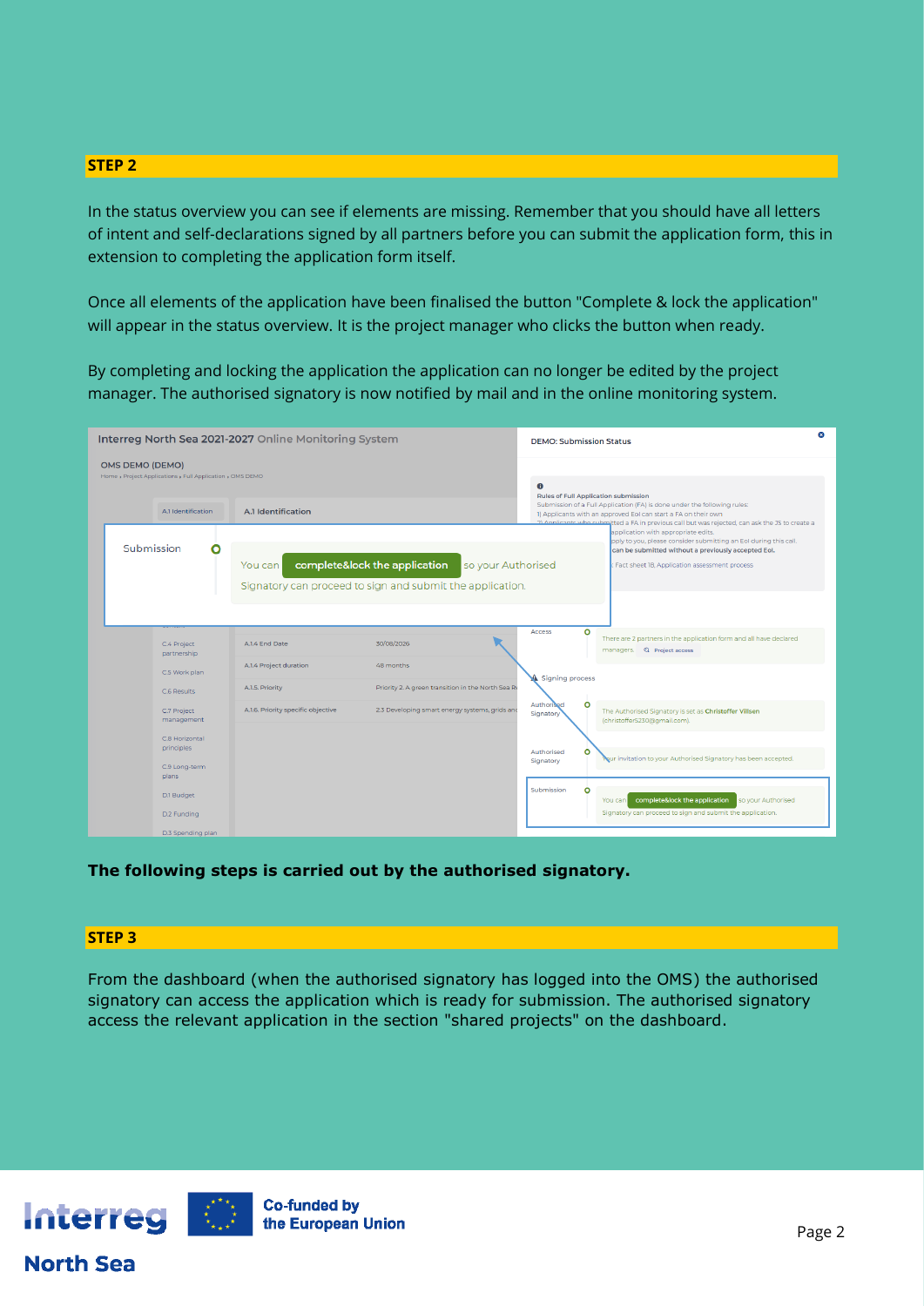In the status overview you can see if elements are missing. Remember that you should have all letters of intent and self-declarations signed by all partners before you can submit the application form, this in extension to completing the application form itself.

Once all elements of the application have been finalised the button "Complete & lock the application" will appear in the status overview. It is the project manager who clicks the button when ready.

By completing and locking the application the application can no longer be edited by the project manager. The authorised signatory is now notified by mail and in the online monitoring system.

|                                                                                     | Interreg North Sea 2021-2027 Online Monitoring System |                                           |                                                                                                                  |                                             | <b>DEMO: Submission Status</b>                                                                                                                                                                                                             |  |  |  |  |  |
|-------------------------------------------------------------------------------------|-------------------------------------------------------|-------------------------------------------|------------------------------------------------------------------------------------------------------------------|---------------------------------------------|--------------------------------------------------------------------------------------------------------------------------------------------------------------------------------------------------------------------------------------------|--|--|--|--|--|
| <b>OMS DEMO (DEMO)</b><br>Home , Project Applications , Full Application , OMS DEMO |                                                       |                                           | $\bullet$                                                                                                        |                                             |                                                                                                                                                                                                                                            |  |  |  |  |  |
|                                                                                     | A.1 Identification                                    | A.1 Identification                        |                                                                                                                  | <b>Rules of Full Application submission</b> | Submission of a Full Application (FA) is done under the following rules:<br>1) Applicants with an approved EoI can start a FA on their own<br>oreate a FA in previous call but was rejected, can ask the JS to create a المصطلح المستخدمات |  |  |  |  |  |
| Submission                                                                          | О<br>You can                                          |                                           | complete&lock the application<br>so your Authorised<br>Signatory can proceed to sign and submit the application. |                                             | application with appropriate edits.<br>pply to you, please consider submitting an EoI during this call.<br>can be submitted without a previously accepted EoI.<br>Fact sheet 18, Application assessment process                            |  |  |  |  |  |
|                                                                                     | C.4 Project<br>partnership                            | A.I.4 End Date                            | 30/08/2026                                                                                                       | $\circ$<br>Access                           | There are 2 partners in the application form and all have declared<br>managers. Q Project access                                                                                                                                           |  |  |  |  |  |
|                                                                                     | C.5 Work plan<br>C.6 Results                          | A.1.4 Project duration<br>A.1.5. Priority | 48 months<br>Priority 2. A green transition in the North Sea Re                                                  | Signing process                             |                                                                                                                                                                                                                                            |  |  |  |  |  |
|                                                                                     | C.7 Project<br>management                             | A.1.6. Priority specific objective        | 2.3 Developing smart energy systems, grids and                                                                   | $\circ$<br>Authorised<br>Signatory          | The Authorised Signatory is set as Christoffer Villsen<br>(christoffer5230@gmail.com).                                                                                                                                                     |  |  |  |  |  |
|                                                                                     | C.8 Horizontal<br>principles                          |                                           |                                                                                                                  | O<br>Authorised<br>Signatory                | Nur invitation to your Authorised Signatory has been accepted.                                                                                                                                                                             |  |  |  |  |  |
|                                                                                     | C.9 Long-term<br>plans                                |                                           |                                                                                                                  | Submission<br>O                             |                                                                                                                                                                                                                                            |  |  |  |  |  |
|                                                                                     | D.1 Budget<br>D.2 Funding                             |                                           |                                                                                                                  |                                             | complete&lock the application<br>so your Authorised<br>You can<br>Signatory can proceed to sign and submit the application.                                                                                                                |  |  |  |  |  |
|                                                                                     | D.3 Spending plan                                     |                                           |                                                                                                                  |                                             |                                                                                                                                                                                                                                            |  |  |  |  |  |

**The following steps is carried out by the authorised signatory.**

## **STEP 3**

From the dashboard (when the authorised signatory has logged into the OMS) the authorised signatory can access the application which is ready for submission. The authorised signatory access the relevant application in the section "shared projects" on the dashboard.



## **North Sea**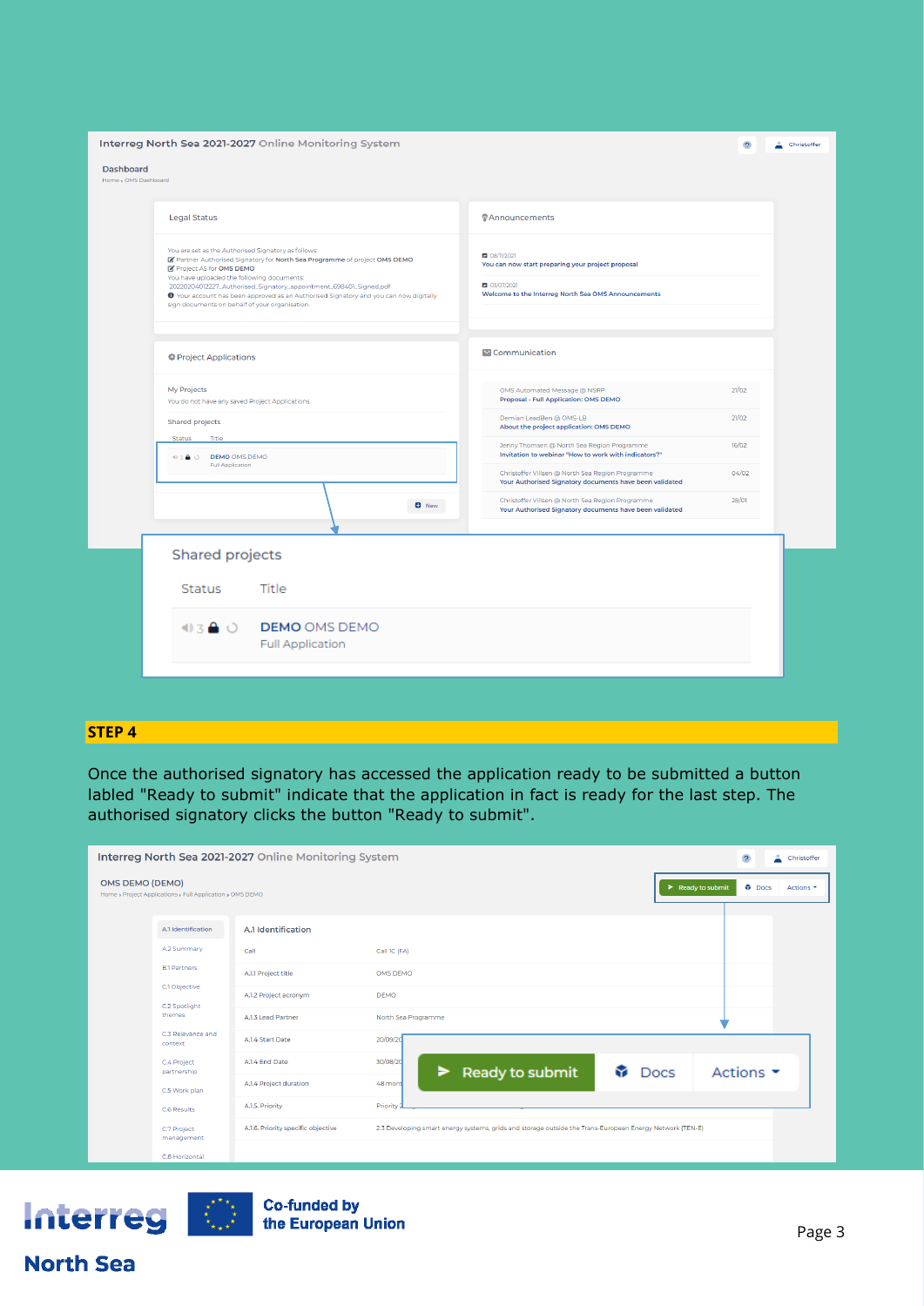|                                          | Interreg North Sea 2021-2027 Online Monitoring System<br>$\overline{P}$                                                                                                                                                                                                                                                                                                                                                  |                                                                                                                                          |       |  |  |  |  |  |
|------------------------------------------|--------------------------------------------------------------------------------------------------------------------------------------------------------------------------------------------------------------------------------------------------------------------------------------------------------------------------------------------------------------------------------------------------------------------------|------------------------------------------------------------------------------------------------------------------------------------------|-------|--|--|--|--|--|
| <b>Dashboard</b><br>Home > OMS Dashboard |                                                                                                                                                                                                                                                                                                                                                                                                                          |                                                                                                                                          |       |  |  |  |  |  |
|                                          | <b>Legal Status</b>                                                                                                                                                                                                                                                                                                                                                                                                      | <b><i>Announcements</i></b>                                                                                                              |       |  |  |  |  |  |
|                                          | You are set as the Authorised Signatory as follows:<br>Partner Authorised Signatory for North Sea Programme of project OMS DEMO<br>Project AS for OMS DEMO<br>You have uploaded the following documents:<br>20220204012227_Authorised_Signatory_appointment_698401_Signed.pdf<br>O Your account has been approved as an Authorised Signatory and you can now digitally<br>sign documents on behalf of your organisation. | ■ 08/11/2021<br>You can now start preparing your project proposal<br>■ 03/07/2021<br>Welcome to the Interreg North Sea OMS Announcements |       |  |  |  |  |  |
|                                          | Project Applications                                                                                                                                                                                                                                                                                                                                                                                                     | Communication                                                                                                                            |       |  |  |  |  |  |
|                                          | My Projects<br>You do not have any saved Project Applications.                                                                                                                                                                                                                                                                                                                                                           | OMS Automated Message @ NSRP<br>Proposal - Full Application: OMS DEMO                                                                    | 21/02 |  |  |  |  |  |
|                                          | Shared projects                                                                                                                                                                                                                                                                                                                                                                                                          | Demian LeadBen @ OMS-LB<br>About the project application: OMS DEMO                                                                       | 21/02 |  |  |  |  |  |
|                                          | Status<br>Title<br>43 A O DEMO OMS DEMO                                                                                                                                                                                                                                                                                                                                                                                  | Jenny Thomsen @ North Sea Region Programme<br>Invitation to webinar "How to work with indicators?"                                       | 16/02 |  |  |  |  |  |
|                                          | Full Application                                                                                                                                                                                                                                                                                                                                                                                                         | Christoffer Villsen @ North Sea Region Programme<br>Your Authorised Signatory documents have been validated                              | 04/02 |  |  |  |  |  |
|                                          | <b>O</b> New                                                                                                                                                                                                                                                                                                                                                                                                             | Christoffer Villsen @ North Sea Region Programme<br>Your Authorised Signatory documents have been validated                              | 28/01 |  |  |  |  |  |
|                                          | Shared projects                                                                                                                                                                                                                                                                                                                                                                                                          |                                                                                                                                          |       |  |  |  |  |  |
|                                          | Title<br><b>Status</b>                                                                                                                                                                                                                                                                                                                                                                                                   |                                                                                                                                          |       |  |  |  |  |  |
|                                          | $03$ $\bullet$ $0$<br><b>DEMO OMS DEMO</b><br><b>Full Application</b>                                                                                                                                                                                                                                                                                                                                                    |                                                                                                                                          |       |  |  |  |  |  |
|                                          |                                                                                                                                                                                                                                                                                                                                                                                                                          |                                                                                                                                          |       |  |  |  |  |  |

Once the authorised signatory has accessed the application ready to be submitted a button labled "Ready to submit" indicate that the application in fact is ready for the last step. The authorised signatory clicks the button "Ready to submit".

| Interreg North Sea 2021-2027 Online Monitoring System<br>$\ddot{\mathbf{c}}$ |                                                           |                                    |                                                                                                          |  |                   |                               |           |
|------------------------------------------------------------------------------|-----------------------------------------------------------|------------------------------------|----------------------------------------------------------------------------------------------------------|--|-------------------|-------------------------------|-----------|
| <b>OMS DEMO (DEMO)</b>                                                       | Home , Project Applications , Full Application , OMS DEMO |                                    |                                                                                                          |  | > Ready to submit | <b>Docs</b>                   | Actions - |
|                                                                              | A.1 Identification                                        | A.1 Identification                 |                                                                                                          |  |                   |                               |           |
|                                                                              | A.2 Summary                                               | Call                               | Call 1C (FA)                                                                                             |  |                   |                               |           |
|                                                                              | <b>B.1 Partners</b>                                       | A.I.1 Project title                | OMS DEMO                                                                                                 |  |                   |                               |           |
|                                                                              | C.1 Objective<br>C.2 Spotlight                            | A.1.2 Project acronym              | <b>DEMO</b>                                                                                              |  |                   |                               |           |
|                                                                              | themes                                                    | A.1.3 Lead Partner                 | North Sea Programme                                                                                      |  |                   |                               |           |
|                                                                              | C.3 Relevance and<br>context                              | A.I.4 Start Date                   | 20/09/20                                                                                                 |  |                   |                               |           |
|                                                                              | C.4 Project<br>partnership<br>C.5 Work plan               | A.I.4 End Date                     | 30/08/20<br>Ready to submit<br>►                                                                         |  | Docs              | Actions $\blacktriangleright$ |           |
|                                                                              |                                                           | A.1.4 Project duration             | 48 mont                                                                                                  |  |                   |                               |           |
|                                                                              | C.6 Results                                               | A.I.5. Priority                    | Priority                                                                                                 |  |                   |                               |           |
|                                                                              | C.7 Project<br>management                                 | A.1.6. Priority specific objective | 2.3 Developing smart energy systems, grids and storage outside the Trans-European Energy Network (TEN-E) |  |                   |                               |           |
|                                                                              | C.8 Horizontal                                            |                                    |                                                                                                          |  |                   |                               |           |



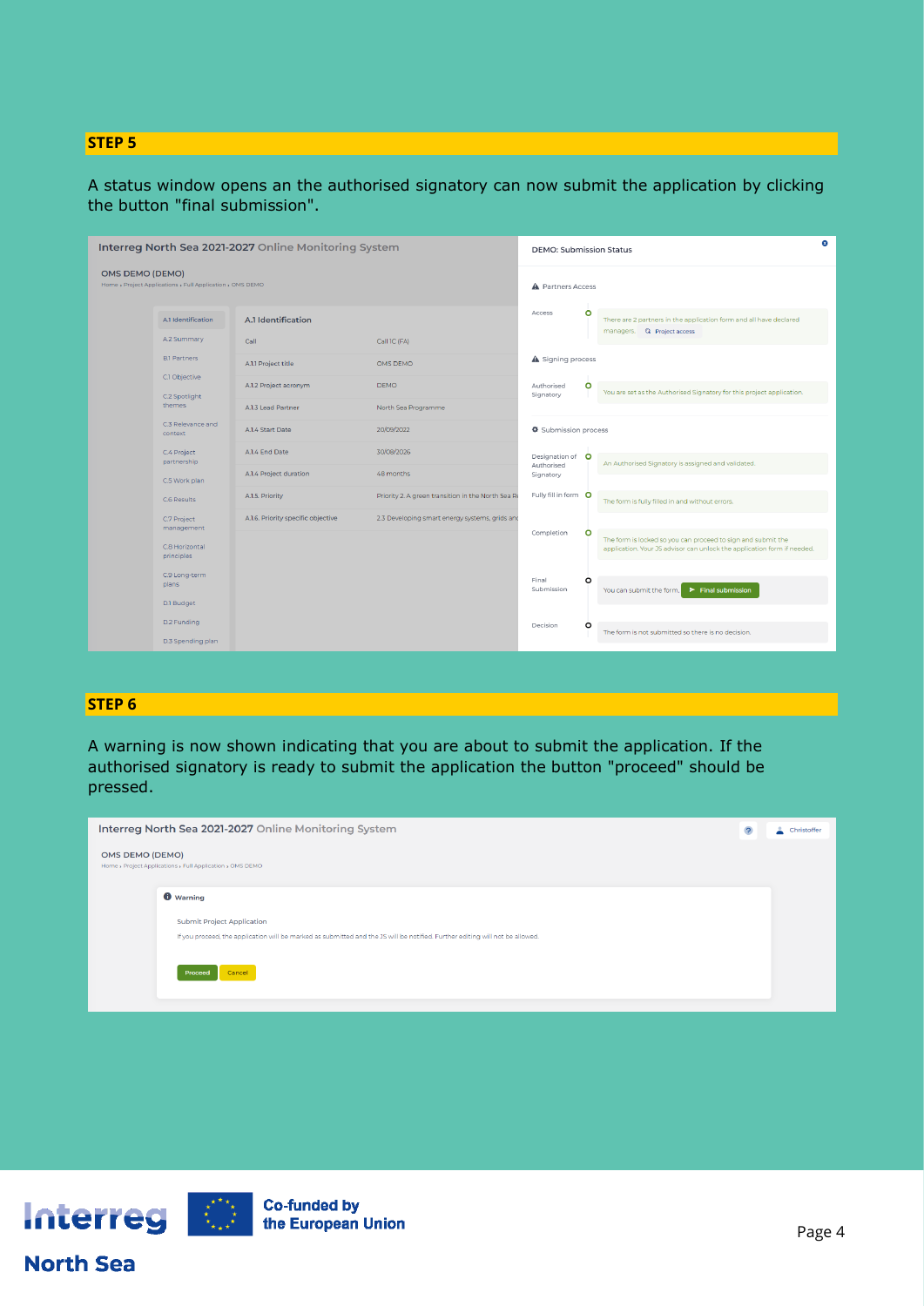A status window opens an the authorised signatory can now submit the application by clicking the button "final submission".

| Interreg North Sea 2021-2027 Online Monitoring System                               |                                                                             |                                    | $\infty$<br><b>DEMO: Submission Status</b>         |                                                                                   |         |                                                                                                                                         |
|-------------------------------------------------------------------------------------|-----------------------------------------------------------------------------|------------------------------------|----------------------------------------------------|-----------------------------------------------------------------------------------|---------|-----------------------------------------------------------------------------------------------------------------------------------------|
| <b>OMS DEMO (DEMO)</b><br>Home > Project Applications > Full Application > OMS DEMO |                                                                             |                                    | A Partners Access                                  |                                                                                   |         |                                                                                                                                         |
|                                                                                     | A.1 Identification                                                          | A.1 Identification                 |                                                    | Access                                                                            | ۰       | There are 2 partners in the application form and all have declared<br>managers. @ Project access                                        |
|                                                                                     | A.2 Summary                                                                 | Call                               | Call 1C (FA)                                       |                                                                                   |         |                                                                                                                                         |
|                                                                                     | <b>B.1 Partners</b>                                                         | A.I.I Project title                | OMS DEMO                                           | A Signing process                                                                 |         |                                                                                                                                         |
|                                                                                     | C.1 Objective<br>C.2 Spotlight                                              | A.1.2 Project acronym              | <b>DEMO</b>                                        | Authorised<br>Signatory                                                           | ۰       | You are set as the Authorised Signatory for this project application.                                                                   |
|                                                                                     | themes                                                                      | A.1.3 Lead Partner                 | North Sea Programme                                |                                                                                   |         |                                                                                                                                         |
|                                                                                     | C.3 Relevance and<br>context<br>C.4 Project<br>partnership<br>C.5 Work plan | A.1.4 Start Date                   | 20/09/2022                                         | Submission process                                                                |         |                                                                                                                                         |
|                                                                                     |                                                                             | A.1.4 End Date                     | 30/08/2026                                         | Designation of O<br>Authorised<br>Signatory<br>Fully fill in form O<br>Completion |         |                                                                                                                                         |
|                                                                                     |                                                                             | A.1.4 Project duration             | 48 months                                          |                                                                                   |         | An Authorised Signatory is assigned and validated.                                                                                      |
|                                                                                     | C.6 Results                                                                 | A.1.5. Priority                    | Priority 2. A green transition in the North Sea Re |                                                                                   |         | The form is fully filled in and without errors.                                                                                         |
|                                                                                     | C.7 Project<br>management                                                   | A.1.6. Priority specific objective | 2.3 Developing smart energy systems, grids and     |                                                                                   |         |                                                                                                                                         |
|                                                                                     | C.8 Horizontal<br>principles                                                |                                    |                                                    |                                                                                   | $\circ$ | The form is locked so you can proceed to sign and submit the<br>application. Your JS advisor can unlock the application form if needed. |
|                                                                                     | C.9 Long-term                                                               |                                    |                                                    |                                                                                   |         |                                                                                                                                         |
|                                                                                     | plans                                                                       |                                    |                                                    | Final<br>Submission                                                               | O       | $\blacktriangleright$ Final submission<br>You can submit the form.                                                                      |
|                                                                                     | D.1 Budget                                                                  |                                    |                                                    |                                                                                   |         |                                                                                                                                         |
|                                                                                     | D.2 Funding                                                                 |                                    |                                                    | Decision                                                                          | O       | The form is not submitted so there is no decision.                                                                                      |
|                                                                                     | D.3 Spending plan                                                           |                                    |                                                    |                                                                                   |         |                                                                                                                                         |

## **STEP 6**

A warning is now shown indicating that you are about to submit the application. If the authorised signatory is ready to submit the application the button "proceed" should be pressed.

| Interreg North Sea 2021-2027 Online Monitoring System<br>$\overline{P}$                                                       |  |  |  |  |  |
|-------------------------------------------------------------------------------------------------------------------------------|--|--|--|--|--|
| OMS DEMO (DEMO)<br>Home , Project Applications , Full Application , OMS DEMO                                                  |  |  |  |  |  |
| <b><i>O</i></b> Warning                                                                                                       |  |  |  |  |  |
| <b>Submit Project Application</b>                                                                                             |  |  |  |  |  |
| If you proceed, the application will be marked as submitted and the JS will be notified. Further editing will not be allowed. |  |  |  |  |  |
| Cancel<br>Proceed                                                                                                             |  |  |  |  |  |
|                                                                                                                               |  |  |  |  |  |